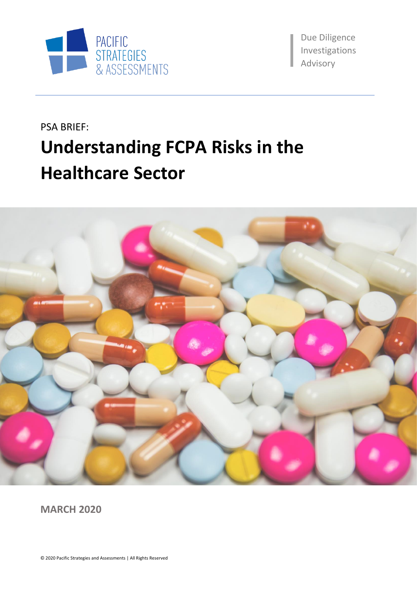

Due Diligence Investigations aAdvisory

# PSA BRIEF: **Understanding FCPA Risks in the Healthcare Sector**



**MARCH 2020**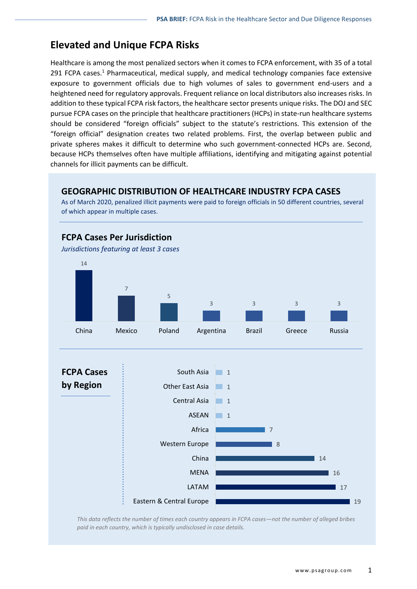### **Elevated and Unique FCPA Risks**

Healthcare is among the most penalized sectors when it comes to FCPA enforcement, with 35 of a total 291 FCPA cases.<sup>1</sup> Pharmaceutical, medical supply, and medical technology companies face extensive exposure to government officials due to high volumes of sales to government end-users and a heightened need for regulatory approvals. Frequent reliance on local distributors also increases risks. In addition to these typical FCPA risk factors, the healthcare sector presents unique risks. The DOJ and SEC pursue FCPA cases on the principle that healthcare practitioners (HCPs) in state-run healthcare systems should be considered "foreign officials" subject to the statute's restrictions. This extension of the "foreign official" designation creates two related problems. First, the overlap between public and private spheres makes it difficult to determine who such government-connected HCPs are. Second, because HCPs themselves often have multiple affiliations, identifying and mitigating against potential channels for illicit payments can be difficult.

### **GEOGRAPHIC DISTRIBUTION OF HEALTHCARE INDUSTRY FCPA CASES**

As of March 2020, penalized illicit payments were paid to foreign officials in 50 different countries, several of which appear in multiple cases.



*This data reflects the number of times each country appears in FCPA cases—not the number of alleged bribes paid in each country, which is typically undisclosed in case details.*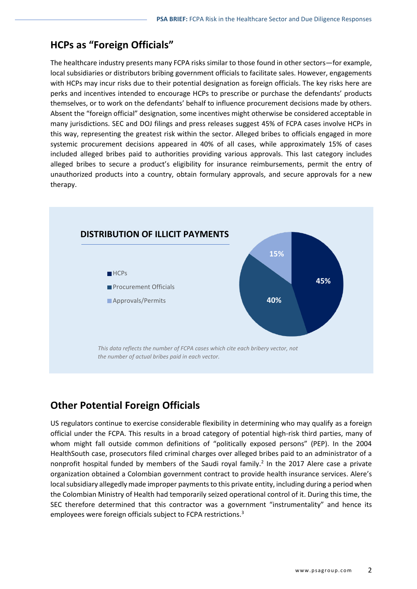# **HCPs as "Foreign Officials"**

The healthcare industry presents many FCPA risks similar to those found in other sectors—for example, local subsidiaries or distributors bribing government officials to facilitate sales. However, engagements with HCPs may incur risks due to their potential designation as foreign officials. The key risks here are perks and incentives intended to encourage HCPs to prescribe or purchase the defendants' products themselves, or to work on the defendants' behalf to influence procurement decisions made by others. Absent the "foreign official" designation, some incentives might otherwise be considered acceptable in many jurisdictions. SEC and DOJ filings and press releases suggest 45% of FCPA cases involve HCPs in this way, representing the greatest risk within the sector. Alleged bribes to officials engaged in more systemic procurement decisions appeared in 40% of all cases, while approximately 15% of cases included alleged bribes paid to authorities providing various approvals. This last category includes alleged bribes to secure a product's eligibility for insurance reimbursements, permit the entry of unauthorized products into a country, obtain formulary approvals, and secure approvals for a new therapy.



# **Other Potential Foreign Officials**

US regulators continue to exercise considerable flexibility in determining who may qualify as a foreign official under the FCPA. This results in a broad category of potential high-risk third parties, many of whom might fall outside common definitions of "politically exposed persons" (PEP). In the 2004 HealthSouth case, prosecutors filed criminal charges over alleged bribes paid to an administrator of a nonprofit hospital funded by members of the Saudi royal family.<sup>2</sup> In the 2017 Alere case a private organization obtained a Colombian government contract to provide health insurance services. Alere's local subsidiary allegedly made improper payments to this private entity, including during a period when the Colombian Ministry of Health had temporarily seized operational control of it. During this time, the SEC therefore determined that this contractor was a government "instrumentality" and hence its employees were foreign officials subject to FCPA restrictions.<sup>3</sup>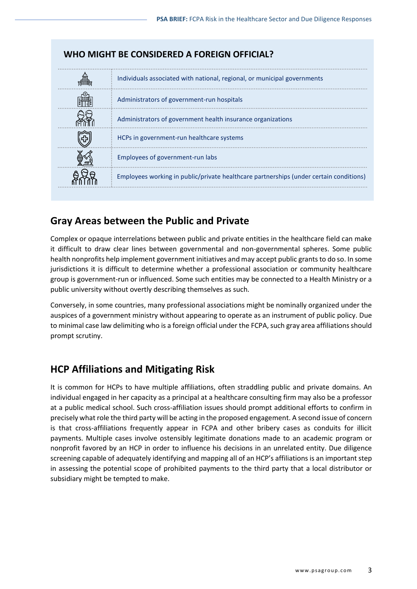

### **Gray Areas between the Public and Private**

Complex or opaque interrelations between public and private entities in the healthcare field can make it difficult to draw clear lines between governmental and non-governmental spheres. Some public health nonprofits help implement government initiatives and may accept public grants to do so. In some jurisdictions it is difficult to determine whether a professional association or community healthcare group is government-run or influenced. Some such entities may be connected to a Health Ministry or a public university without overtly describing themselves as such.

Conversely, in some countries, many professional associations might be nominally organized under the auspices of a government ministry without appearing to operate as an instrument of public policy. Due to minimal case law delimiting who is a foreign official under the FCPA, such gray area affiliations should prompt scrutiny.

### **HCP Affiliations and Mitigating Risk**

It is common for HCPs to have multiple affiliations, often straddling public and private domains. An individual engaged in her capacity as a principal at a healthcare consulting firm may also be a professor at a public medical school. Such cross-affiliation issues should prompt additional efforts to confirm in precisely what role the third party will be acting in the proposed engagement. A second issue of concern is that cross-affiliations frequently appear in FCPA and other bribery cases as conduits for illicit payments. Multiple cases involve ostensibly legitimate donations made to an academic program or nonprofit favored by an HCP in order to influence his decisions in an unrelated entity. Due diligence screening capable of adequately identifying and mapping all of an HCP's affiliations is an important step in assessing the potential scope of prohibited payments to the third party that a local distributor or subsidiary might be tempted to make.